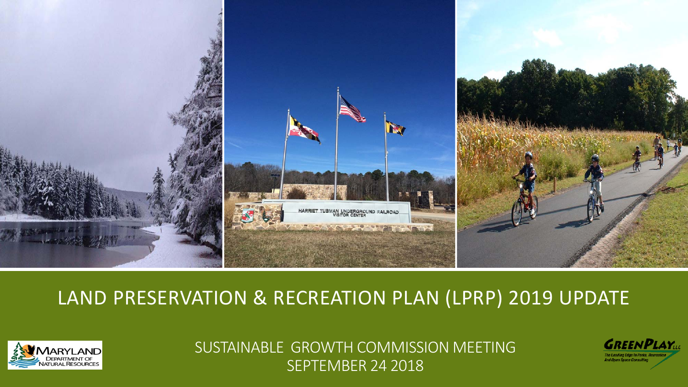

### LAND PRESERVATION & RECREATION PLAN (LPRP) 2019 UPDATE



SUSTAINABLE GROWTH COMMISSION MEETING SEPTEMBER 24 2018

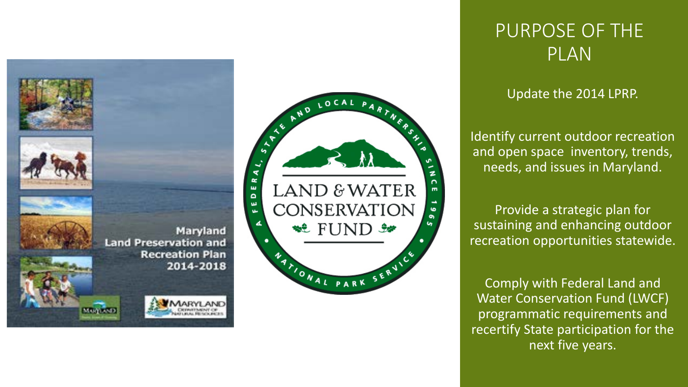



### PURPOSE OF THE PLAN

#### Update the 2014 LPRP.

Identify current outdoor recreation and open space inventory, trends, needs, and issues in Maryland.

Provide a strategic plan for sustaining and enhancing outdoor recreation opportunities statewide.

Comply with Federal Land and Water Conservation Fund (LWCF) programmatic requirements and recertify State participation for the next five years.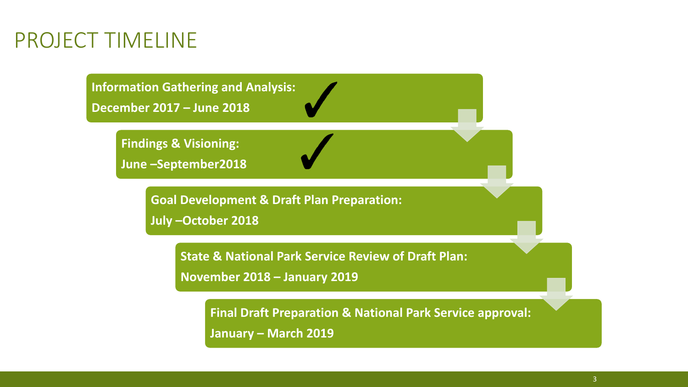## PROJECT TIMELINE

**Information Gathering and Analysis:** 

**December 2017 – June 2018**

**Findings & Visioning:**

**June –September2018**

**Goal Development & Draft Plan Preparation:**

**July –October 2018**

**State & National Park Service Review of Draft Plan:** 

**November 2018 – January 2019**

**Final Draft Preparation & National Park Service approval: January – March 2019**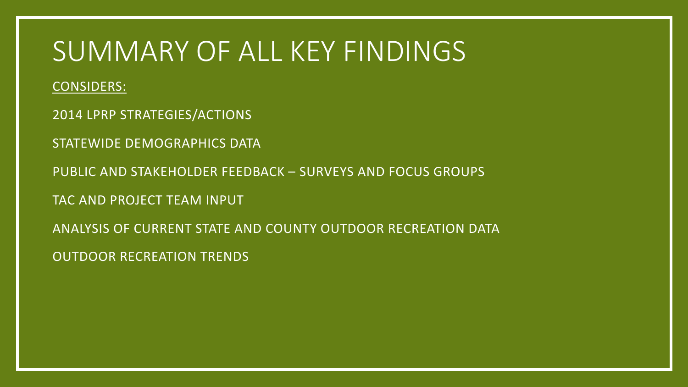# SUMMARY OF ALL KEY FINDINGS

CONSIDERS:

2014 LPRP STRATEGIES/ACTIONS

STATEWIDE DEMOGRAPHICS DATA

PUBLIC AND STAKEHOLDER FEEDBACK – SURVEYS AND FOCUS GROUPS

TAC AND PROJECT TEAM INPUT

ANALYSIS OF CURRENT STATE AND COUNTY OUTDOOR RECREATION DATA

OUTDOOR RECREATION TRENDS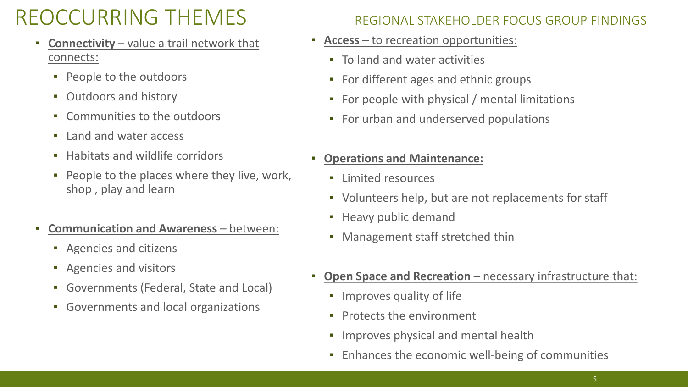# REOCCURRING THEMES REGIONAL STAKEHOLDER FOCUS GROUP FINDINGS

- **Connectivity** value a trail network that connects:
	- People to the outdoors
	- Outdoors and history
	- Communities to the outdoors
	- Land and water access
	- Habitats and wildlife corridors
	- People to the places where they live, work, shop , play and learn
- **Communication and Awareness** between:
	- Agencies and citizens
	- Agencies and visitors
	- Governments (Federal, State and Local)
	- Governments and local organizations

- **Access**  to recreation opportunities:
	- To land and water activities
	- For different ages and ethnic groups
	- For people with physical / mental limitations
	- For urban and underserved populations

### ▪ **Operations and Maintenance:**

- Limited resources
- Volunteers help, but are not replacements for staff
- Heavy public demand
- Management staff stretched thin
- **Open Space and Recreation** necessary infrastructure that:
	- **•** Improves quality of life
	- Protects the environment
	- **•** Improves physical and mental health
	- **Enhances the economic well-being of communities**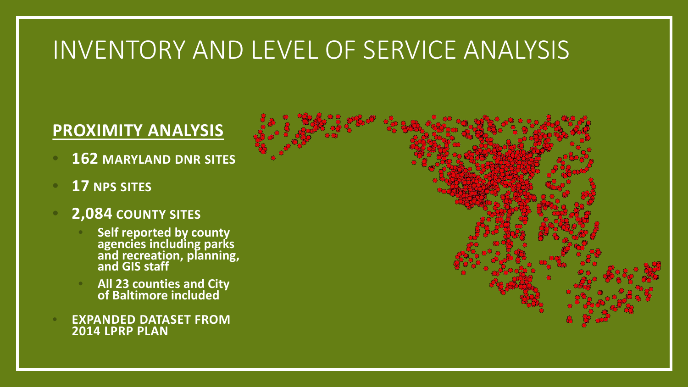# INVENTORY AND LEVEL OF SERVICE ANALYSIS

### **PROXIMITY ANALYSIS**

- **162 MARYLAND DNR SITES**
- **17 NPS SITES**
- **2,084 COUNTY SITES**
	- **Self reported by county agencies including parks and recreation, planning, and GIS staff**
	- **All 23 counties and City of Baltimore included**
- **EXPANDED DATASET FROM 2014 LPRP PLAN**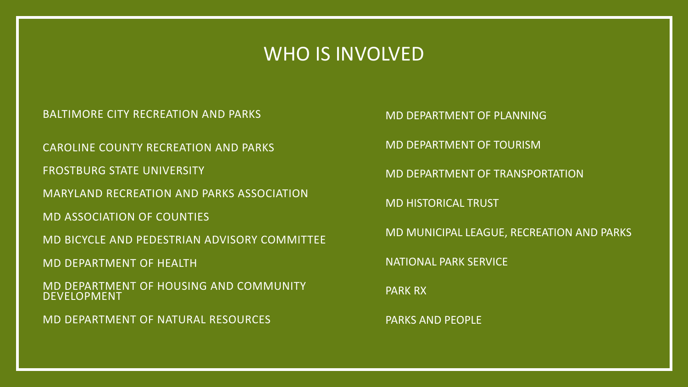### WHO IS INVOLVED

BALTIMORE CITY RECREATION AND PARKS

CAROLINE COUNTY RECREATION AND PARKS

FROSTBURG STATE UNIVERSITY

MARYLAND RECREATION AND PARKS ASSOCIATION

MD ASSOCIATION OF COUNTIES

MD BICYCLE AND PEDESTRIAN ADVISORY COMMITTEE

MD DEPARTMENT OF HEALTH

MD DEPARTMENT OF HOUSING AND COMMUNITY DEVELOPMENT

MD DEPARTMENT OF NATURAL RESOURCES

MD DEPARTMENT OF PLANNING

MD DEPARTMENT OF TOURISM

MD DEPARTMENT OF TRANSPORTATION

MD HISTORICAL TRUST

MD MUNICIPAL LEAGUE, RECREATION AND PARKS

NATIONAL PARK SERVICE

PARK RX

PARKS AND PEOPLE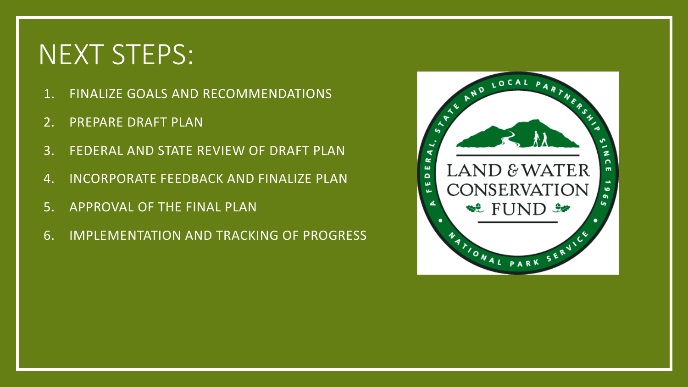# NEXT STEPS:

- 1. FINALIZE GOALS AND RECOMMENDATIONS
- 2. PREPARE DRAFT PLAN
- 3. FEDERAL AND STATE REVIEW OF DRAFT PLAN
- 4. INCORPORATE FEEDBACK AND FINALIZE PLAN
- 5. APPROVAL OF THE FINAL PLAN
- 6. IMPLEMENTATION AND TRACKING OF PROGRESS